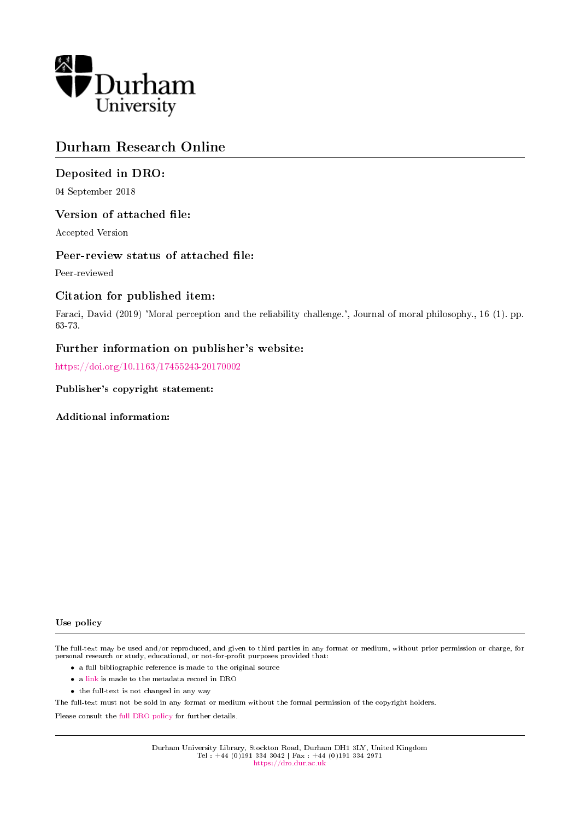

# Durham Research Online

# Deposited in DRO:

04 September 2018

# Version of attached file:

Accepted Version

### Peer-review status of attached file:

Peer-reviewed

# Citation for published item:

Faraci, David (2019) 'Moral perception and the reliability challenge.', Journal of moral philosophy., 16 (1). pp. 63-73.

# Further information on publisher's website:

<https://doi.org/10.1163/17455243-20170002>

Publisher's copyright statement:

Additional information:

#### Use policy

The full-text may be used and/or reproduced, and given to third parties in any format or medium, without prior permission or charge, for personal research or study, educational, or not-for-profit purposes provided that:

- a full bibliographic reference is made to the original source
- a [link](http://dro.dur.ac.uk/26072/) is made to the metadata record in DRO
- the full-text is not changed in any way

The full-text must not be sold in any format or medium without the formal permission of the copyright holders.

Please consult the [full DRO policy](https://dro.dur.ac.uk/policies/usepolicy.pdf) for further details.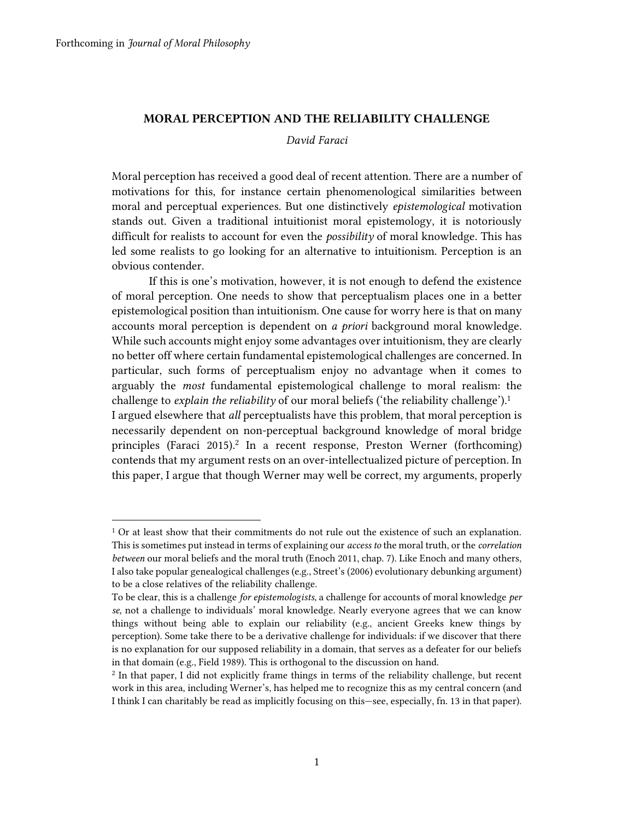$\overline{a}$ 

### **MORAL PERCEPTION AND THE RELIABILITY CHALLENGE**

#### *David Faraci*

Moral perception has received a good deal of recent attention. There are a number of motivations for this, for instance certain phenomenological similarities between moral and perceptual experiences. But one distinctively *epistemological* motivation stands out. Given a traditional intuitionist moral epistemology, it is notoriously difficult for realists to account for even the *possibility* of moral knowledge. This has led some realists to go looking for an alternative to intuitionism. Perception is an obvious contender.

If this is one's motivation, however, it is not enough to defend the existence of moral perception. One needs to show that perceptualism places one in a better epistemological position than intuitionism. One cause for worry here is that on many accounts moral perception is dependent on *a priori* background moral knowledge. While such accounts might enjoy some advantages over intuitionism, they are clearly no better off where certain fundamental epistemological challenges are concerned. In particular, such forms of perceptualism enjoy no advantage when it comes to arguably the *most* fundamental epistemological challenge to moral realism: the challenge to *explain the reliability* of our moral beliefs ('the reliability challenge'). 1 I argued elsewhere that *all* perceptualists have this problem, that moral perception is necessarily dependent on non-perceptual background knowledge of moral bridge principles (Faraci 2015). 2 In a recent response, Preston Werner (forthcoming) contends that my argument rests on an over-intellectualized picture of perception. In this paper, I argue that though Werner may well be correct, my arguments, properly

 $1$  Or at least show that their commitments do not rule out the existence of such an explanation. This is sometimes put instead in terms of explaining our *access to* the moral truth, or the *correlation between* our moral beliefs and the moral truth (Enoch 2011, chap. 7). Like Enoch and many others, I also take popular genealogical challenges (e.g., Street's (2006) evolutionary debunking argument) to be a close relatives of the reliability challenge.

To be clear, this is a challenge *for epistemologists,* a challenge for accounts of moral knowledge *per se,* not a challenge to individuals' moral knowledge. Nearly everyone agrees that we can know things without being able to explain our reliability (e.g., ancient Greeks knew things by perception). Some take there to be a derivative challenge for individuals: if we discover that there is no explanation for our supposed reliability in a domain, that serves as a defeater for our beliefs in that domain (e.g., Field 1989). This is orthogonal to the discussion on hand.

<sup>&</sup>lt;sup>2</sup> In that paper, I did not explicitly frame things in terms of the reliability challenge, but recent work in this area, including Werner's, has helped me to recognize this as my central concern (and I think I can charitably be read as implicitly focusing on this—see, especially, fn. 13 in that paper).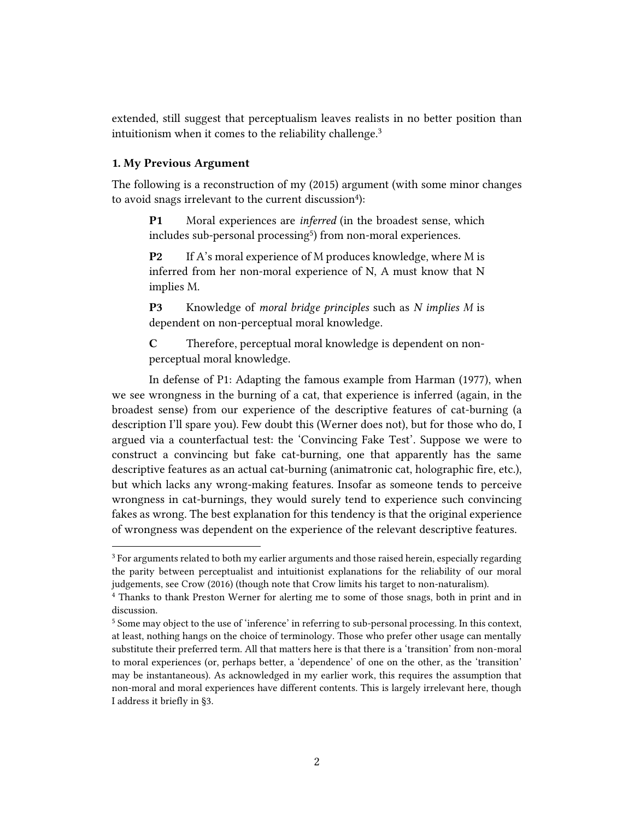extended, still suggest that perceptualism leaves realists in no better position than intuitionism when it comes to the reliability challenge.<sup>3</sup>

### **1. My Previous Argument**

 $\overline{a}$ 

The following is a reconstruction of my (2015) argument (with some minor changes to avoid snags irrelevant to the current discussion<sup>4</sup>):

**P1** Moral experiences are *inferred* (in the broadest sense, which includes sub-personal processing<sup>5</sup>) from non-moral experiences.

**P2** If A's moral experience of M produces knowledge, where M is inferred from her non-moral experience of N, A must know that N implies M.

**P3** Knowledge of *moral bridge principles* such as *N implies M* is dependent on non-perceptual moral knowledge.

**C** Therefore, perceptual moral knowledge is dependent on nonperceptual moral knowledge.

In defense of P1: Adapting the famous example from Harman (1977), when we see wrongness in the burning of a cat, that experience is inferred (again, in the broadest sense) from our experience of the descriptive features of cat-burning (a description I'll spare you). Few doubt this (Werner does not), but for those who do, I argued via a counterfactual test: the 'Convincing Fake Test'. Suppose we were to construct a convincing but fake cat-burning, one that apparently has the same descriptive features as an actual cat-burning (animatronic cat, holographic fire, etc.), but which lacks any wrong-making features. Insofar as someone tends to perceive wrongness in cat-burnings, they would surely tend to experience such convincing fakes as wrong. The best explanation for this tendency is that the original experience of wrongness was dependent on the experience of the relevant descriptive features.

<sup>&</sup>lt;sup>3</sup> For arguments related to both my earlier arguments and those raised herein, especially regarding the parity between perceptualist and intuitionist explanations for the reliability of our moral judgements, see Crow (2016) (though note that Crow limits his target to non-naturalism).

<sup>4</sup> Thanks to thank Preston Werner for alerting me to some of those snags, both in print and in discussion.

<sup>5</sup> Some may object to the use of 'inference' in referring to sub-personal processing. In this context, at least, nothing hangs on the choice of terminology. Those who prefer other usage can mentally substitute their preferred term. All that matters here is that there is a 'transition' from non-moral to moral experiences (or, perhaps better, a 'dependence' of one on the other, as the 'transition' may be instantaneous). As acknowledged in my earlier work, this requires the assumption that non-moral and moral experiences have different contents. This is largely irrelevant here, though I address it briefly in §3.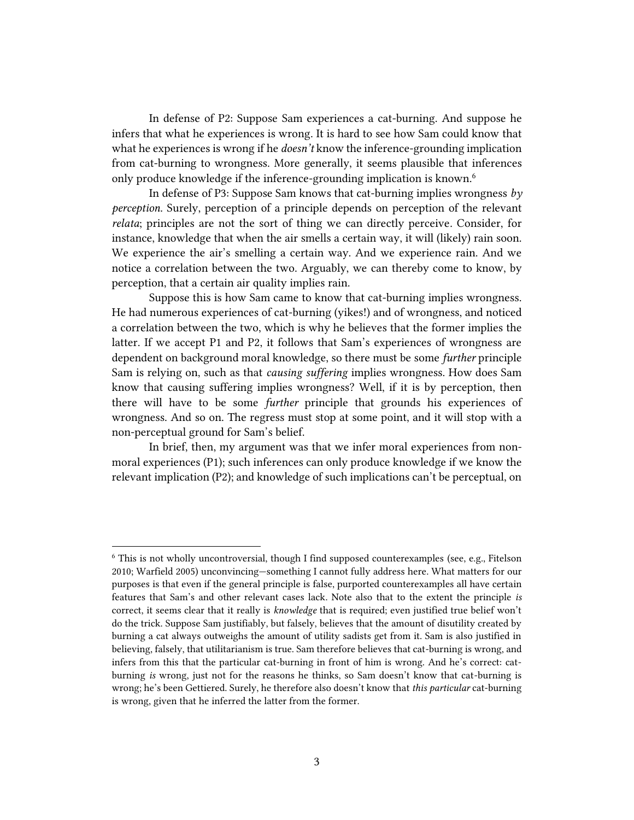In defense of P2: Suppose Sam experiences a cat-burning. And suppose he infers that what he experiences is wrong. It is hard to see how Sam could know that what he experiences is wrong if he *doesn't* know the inference-grounding implication from cat-burning to wrongness. More generally, it seems plausible that inferences only produce knowledge if the inference-grounding implication is known. 6

In defense of P3: Suppose Sam knows that cat-burning implies wrongness *by perception.* Surely, perception of a principle depends on perception of the relevant *relata*; principles are not the sort of thing we can directly perceive*.* Consider, for instance, knowledge that when the air smells a certain way, it will (likely) rain soon. We experience the air's smelling a certain way. And we experience rain. And we notice a correlation between the two. Arguably, we can thereby come to know, by perception, that a certain air quality implies rain.

Suppose this is how Sam came to know that cat-burning implies wrongness. He had numerous experiences of cat-burning (yikes!) and of wrongness, and noticed a correlation between the two, which is why he believes that the former implies the latter. If we accept P1 and P2, it follows that Sam's experiences of wrongness are dependent on background moral knowledge, so there must be some *further* principle Sam is relying on, such as that *causing suffering* implies wrongness. How does Sam know that causing suffering implies wrongness? Well, if it is by perception, then there will have to be some *further* principle that grounds his experiences of wrongness. And so on. The regress must stop at some point, and it will stop with a non-perceptual ground for Sam's belief.

In brief, then, my argument was that we infer moral experiences from nonmoral experiences (P1); such inferences can only produce knowledge if we know the relevant implication (P2); and knowledge of such implications can't be perceptual, on

<sup>6</sup> This is not wholly uncontroversial, though I find supposed counterexamples (see, e.g., Fitelson 2010; Warfield 2005) unconvincing—something I cannot fully address here. What matters for our purposes is that even if the general principle is false, purported counterexamples all have certain features that Sam's and other relevant cases lack. Note also that to the extent the principle *is* correct, it seems clear that it really is *knowledge* that is required; even justified true belief won't do the trick. Suppose Sam justifiably, but falsely, believes that the amount of disutility created by burning a cat always outweighs the amount of utility sadists get from it. Sam is also justified in believing, falsely, that utilitarianism is true. Sam therefore believes that cat-burning is wrong, and infers from this that the particular cat-burning in front of him is wrong. And he's correct: catburning *is* wrong, just not for the reasons he thinks, so Sam doesn't know that cat-burning is wrong; he's been Gettiered. Surely, he therefore also doesn't know that *this particular* cat-burning is wrong, given that he inferred the latter from the former.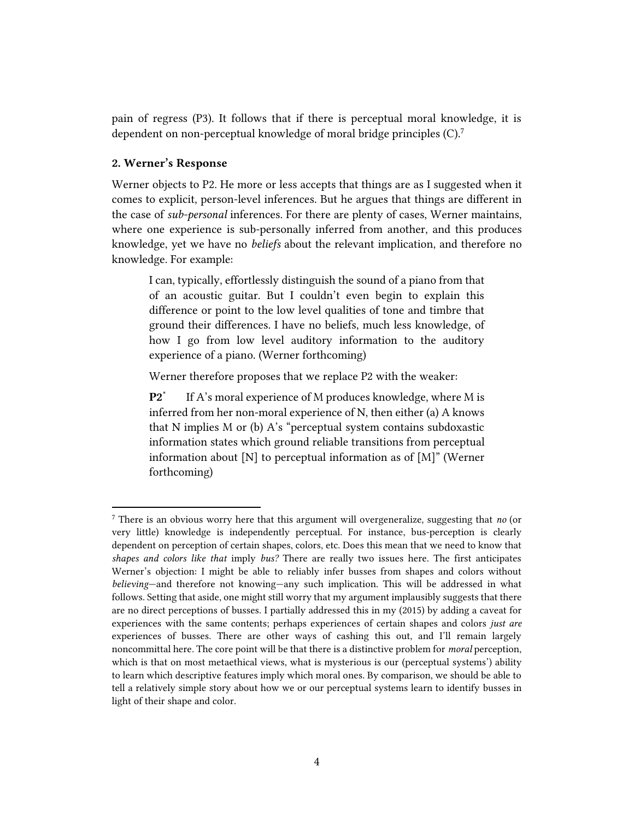pain of regress (P3). It follows that if there is perceptual moral knowledge, it is dependent on non-perceptual knowledge of moral bridge principles (C).<sup>7</sup>

### **2. Werner's Response**

 $\overline{a}$ 

Werner objects to P2. He more or less accepts that things are as I suggested when it comes to explicit, person-level inferences. But he argues that things are different in the case of *sub-personal* inferences. For there are plenty of cases, Werner maintains, where one experience is sub-personally inferred from another, and this produces knowledge, yet we have no *beliefs* about the relevant implication, and therefore no knowledge. For example:

I can, typically, effortlessly distinguish the sound of a piano from that of an acoustic guitar. But I couldn't even begin to explain this difference or point to the low level qualities of tone and timbre that ground their differences. I have no beliefs, much less knowledge, of how I go from low level auditory information to the auditory experience of a piano. (Werner forthcoming)

Werner therefore proposes that we replace P2 with the weaker:

**P2\*** If A's moral experience of M produces knowledge, where M is inferred from her non-moral experience of N, then either (a) A knows that N implies M or (b) A's "perceptual system contains subdoxastic information states which ground reliable transitions from perceptual information about [N] to perceptual information as of [M]" (Werner forthcoming)

<sup>7</sup> There is an obvious worry here that this argument will overgeneralize, suggesting that *no* (or very little) knowledge is independently perceptual. For instance, bus-perception is clearly dependent on perception of certain shapes, colors, etc. Does this mean that we need to know that *shapes and colors like that* imply *bus?* There are really two issues here. The first anticipates Werner's objection: I might be able to reliably infer busses from shapes and colors without *believing*—and therefore not knowing—any such implication. This will be addressed in what follows. Setting that aside, one might still worry that my argument implausibly suggests that there are no direct perceptions of busses. I partially addressed this in my (2015) by adding a caveat for experiences with the same contents; perhaps experiences of certain shapes and colors *just are* experiences of busses. There are other ways of cashing this out, and I'll remain largely noncommittal here. The core point will be that there is a distinctive problem for *moral* perception, which is that on most metaethical views, what is mysterious is our (perceptual systems') ability to learn which descriptive features imply which moral ones. By comparison, we should be able to tell a relatively simple story about how we or our perceptual systems learn to identify busses in light of their shape and color.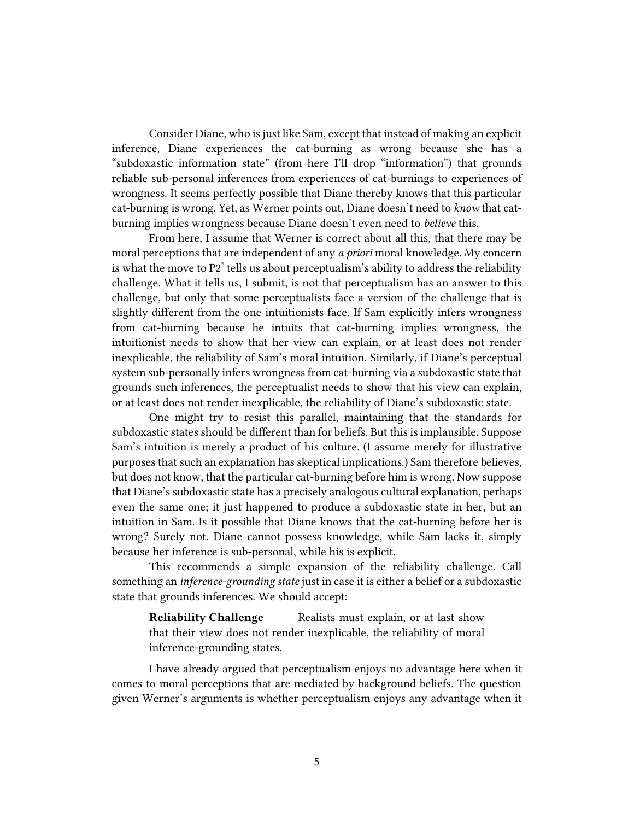Consider Diane, who is just like Sam, except that instead of making an explicit inference, Diane experiences the cat-burning as wrong because she has a "subdoxastic information state" (from here I'll drop "information") that grounds reliable sub-personal inferences from experiences of cat-burnings to experiences of wrongness. It seems perfectly possible that Diane thereby knows that this particular cat-burning is wrong. Yet, as Werner points out, Diane doesn't need to *know* that catburning implies wrongness because Diane doesn't even need to *believe* this.

From here, I assume that Werner is correct about all this, that there may be moral perceptions that are independent of any *a priori* moral knowledge. My concern is what the move to P2\* tells us about perceptualism's ability to address the reliability challenge. What it tells us, I submit, is not that perceptualism has an answer to this challenge, but only that some perceptualists face a version of the challenge that is slightly different from the one intuitionists face. If Sam explicitly infers wrongness from cat-burning because he intuits that cat-burning implies wrongness, the intuitionist needs to show that her view can explain, or at least does not render inexplicable, the reliability of Sam's moral intuition. Similarly, if Diane's perceptual system sub-personally infers wrongness from cat-burning via a subdoxastic state that grounds such inferences, the perceptualist needs to show that his view can explain, or at least does not render inexplicable, the reliability of Diane's subdoxastic state.

One might try to resist this parallel, maintaining that the standards for subdoxastic states should be different than for beliefs. But this is implausible. Suppose Sam's intuition is merely a product of his culture. (I assume merely for illustrative purposes that such an explanation has skeptical implications.) Sam therefore believes, but does not know, that the particular cat-burning before him is wrong. Now suppose that Diane's subdoxastic state has a precisely analogous cultural explanation, perhaps even the same one; it just happened to produce a subdoxastic state in her, but an intuition in Sam. Is it possible that Diane knows that the cat-burning before her is wrong? Surely not. Diane cannot possess knowledge, while Sam lacks it, simply because her inference is sub-personal, while his is explicit.

This recommends a simple expansion of the reliability challenge. Call something an *inference-grounding state* just in case it is either a belief or a subdoxastic state that grounds inferences. We should accept:

**Reliability Challenge** Realists must explain, or at last show that their view does not render inexplicable, the reliability of moral inference-grounding states.

I have already argued that perceptualism enjoys no advantage here when it comes to moral perceptions that are mediated by background beliefs. The question given Werner's arguments is whether perceptualism enjoys any advantage when it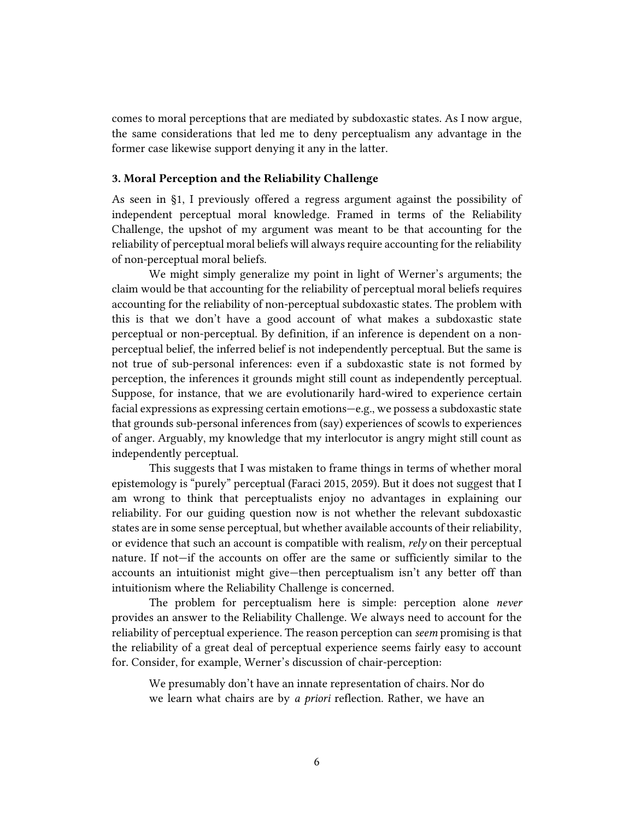comes to moral perceptions that are mediated by subdoxastic states. As I now argue, the same considerations that led me to deny perceptualism any advantage in the former case likewise support denying it any in the latter.

#### **3. Moral Perception and the Reliability Challenge**

As seen in §1, I previously offered a regress argument against the possibility of independent perceptual moral knowledge. Framed in terms of the Reliability Challenge, the upshot of my argument was meant to be that accounting for the reliability of perceptual moral beliefs will always require accounting for the reliability of non-perceptual moral beliefs.

We might simply generalize my point in light of Werner's arguments; the claim would be that accounting for the reliability of perceptual moral beliefs requires accounting for the reliability of non-perceptual subdoxastic states. The problem with this is that we don't have a good account of what makes a subdoxastic state perceptual or non-perceptual. By definition, if an inference is dependent on a nonperceptual belief, the inferred belief is not independently perceptual. But the same is not true of sub-personal inferences: even if a subdoxastic state is not formed by perception, the inferences it grounds might still count as independently perceptual. Suppose, for instance, that we are evolutionarily hard-wired to experience certain facial expressions as expressing certain emotions—e.g., we possess a subdoxastic state that grounds sub-personal inferences from (say) experiences of scowls to experiences of anger. Arguably, my knowledge that my interlocutor is angry might still count as independently perceptual.

This suggests that I was mistaken to frame things in terms of whether moral epistemology is "purely" perceptual (Faraci 2015, 2059). But it does not suggest that I am wrong to think that perceptualists enjoy no advantages in explaining our reliability. For our guiding question now is not whether the relevant subdoxastic states are in some sense perceptual, but whether available accounts of their reliability, or evidence that such an account is compatible with realism, *rely* on their perceptual nature. If not—if the accounts on offer are the same or sufficiently similar to the accounts an intuitionist might give—then perceptualism isn't any better off than intuitionism where the Reliability Challenge is concerned.

The problem for perceptualism here is simple: perception alone *never* provides an answer to the Reliability Challenge. We always need to account for the reliability of perceptual experience. The reason perception can *seem* promising is that the reliability of a great deal of perceptual experience seems fairly easy to account for. Consider, for example, Werner's discussion of chair-perception:

We presumably don't have an innate representation of chairs. Nor do we learn what chairs are by *a priori* reflection. Rather, we have an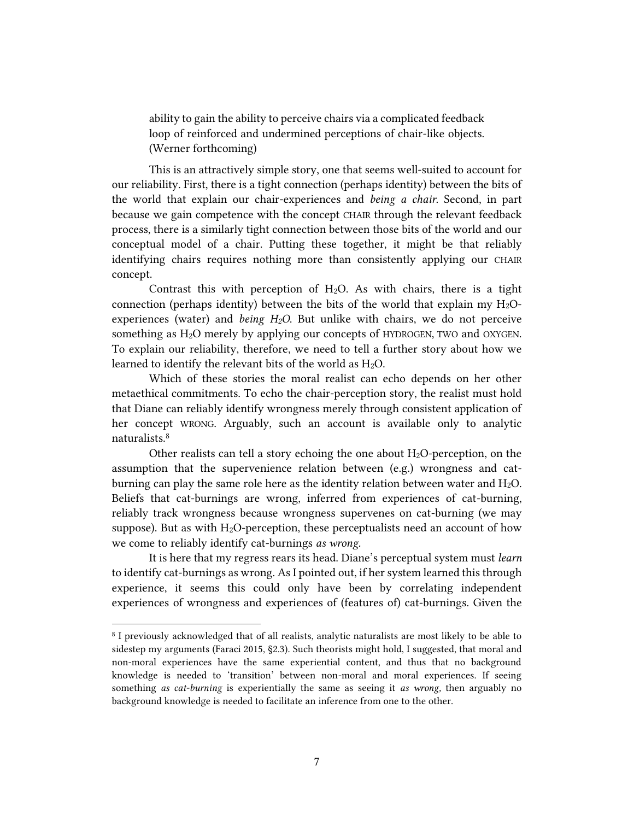ability to gain the ability to perceive chairs via a complicated feedback loop of reinforced and undermined perceptions of chair-like objects. (Werner forthcoming)

This is an attractively simple story, one that seems well-suited to account for our reliability. First, there is a tight connection (perhaps identity) between the bits of the world that explain our chair-experiences and *being a chair*. Second, in part because we gain competence with the concept CHAIR through the relevant feedback process, there is a similarly tight connection between those bits of the world and our conceptual model of a chair. Putting these together, it might be that reliably identifying chairs requires nothing more than consistently applying our CHAIR concept.

Contrast this with perception of  $H_2O$ . As with chairs, there is a tight connection (perhaps identity) between the bits of the world that explain my  $H_2O$ experiences (water) and *being H2O*. But unlike with chairs, we do not perceive something as H2O merely by applying our concepts of HYDROGEN, TWO and OXYGEN. To explain our reliability, therefore, we need to tell a further story about how we learned to identify the relevant bits of the world as  $H_2O$ .

Which of these stories the moral realist can echo depends on her other metaethical commitments. To echo the chair-perception story, the realist must hold that Diane can reliably identify wrongness merely through consistent application of her concept WRONG. Arguably, such an account is available only to analytic naturalists. 8

Other realists can tell a story echoing the one about  $H_2O$ -perception, on the assumption that the supervenience relation between (e.g.) wrongness and catburning can play the same role here as the identity relation between water and H2O. Beliefs that cat-burnings are wrong, inferred from experiences of cat-burning, reliably track wrongness because wrongness supervenes on cat-burning (we may suppose). But as with H2O-perception, these perceptualists need an account of how we come to reliably identify cat-burnings *as wrong.*

It is here that my regress rears its head. Diane's perceptual system must *learn*  to identify cat-burnings as wrong. As I pointed out, if her system learned this through experience, it seems this could only have been by correlating independent experiences of wrongness and experiences of (features of) cat-burnings. Given the

<sup>&</sup>lt;sup>8</sup> I previously acknowledged that of all realists, analytic naturalists are most likely to be able to sidestep my arguments (Faraci 2015, §2.3). Such theorists might hold, I suggested, that moral and non-moral experiences have the same experiential content, and thus that no background knowledge is needed to 'transition' between non-moral and moral experiences. If seeing something *as cat-burning* is experientially the same as seeing it *as wrong,* then arguably no background knowledge is needed to facilitate an inference from one to the other.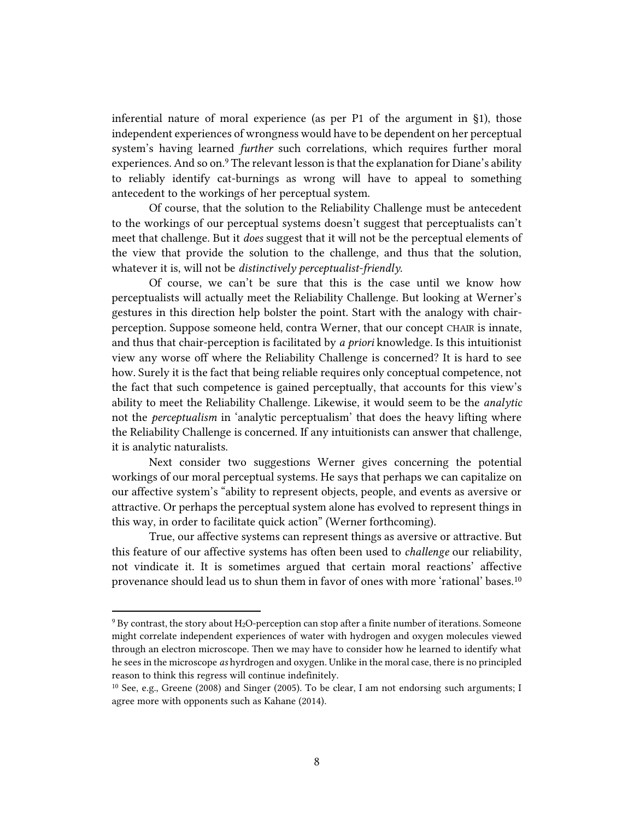inferential nature of moral experience (as per P1 of the argument in §1), those independent experiences of wrongness would have to be dependent on her perceptual system's having learned *further* such correlations, which requires further moral experiences. And so on. $9$  The relevant lesson is that the explanation for Diane's ability to reliably identify cat-burnings as wrong will have to appeal to something antecedent to the workings of her perceptual system.

Of course, that the solution to the Reliability Challenge must be antecedent to the workings of our perceptual systems doesn't suggest that perceptualists can't meet that challenge. But it *does* suggest that it will not be the perceptual elements of the view that provide the solution to the challenge, and thus that the solution, whatever it is, will not be *distinctively perceptualist-friendly.*

Of course, we can't be sure that this is the case until we know how perceptualists will actually meet the Reliability Challenge. But looking at Werner's gestures in this direction help bolster the point. Start with the analogy with chairperception. Suppose someone held, contra Werner, that our concept CHAIR is innate, and thus that chair-perception is facilitated by *a priori* knowledge. Is this intuitionist view any worse off where the Reliability Challenge is concerned? It is hard to see how. Surely it is the fact that being reliable requires only conceptual competence, not the fact that such competence is gained perceptually, that accounts for this view's ability to meet the Reliability Challenge. Likewise, it would seem to be the *analytic* not the *perceptualism* in 'analytic perceptualism' that does the heavy lifting where the Reliability Challenge is concerned. If any intuitionists can answer that challenge, it is analytic naturalists.

Next consider two suggestions Werner gives concerning the potential workings of our moral perceptual systems. He says that perhaps we can capitalize on our affective system's "ability to represent objects, people, and events as aversive or attractive. Or perhaps the perceptual system alone has evolved to represent things in this way, in order to facilitate quick action" (Werner forthcoming).

True, our affective systems can represent things as aversive or attractive. But this feature of our affective systems has often been used to *challenge* our reliability, not vindicate it. It is sometimes argued that certain moral reactions' affective provenance should lead us to shun them in favor of ones with more 'rational' bases.<sup>10</sup>

 $^9$  By contrast, the story about H<sub>2</sub>O-perception can stop after a finite number of iterations. Someone might correlate independent experiences of water with hydrogen and oxygen molecules viewed through an electron microscope. Then we may have to consider how he learned to identify what he sees in the microscope *as* hyrdrogen and oxygen. Unlike in the moral case, there is no principled reason to think this regress will continue indefinitely.

<sup>&</sup>lt;sup>10</sup> See, e.g., Greene (2008) and Singer (2005). To be clear, I am not endorsing such arguments; I agree more with opponents such as Kahane (2014).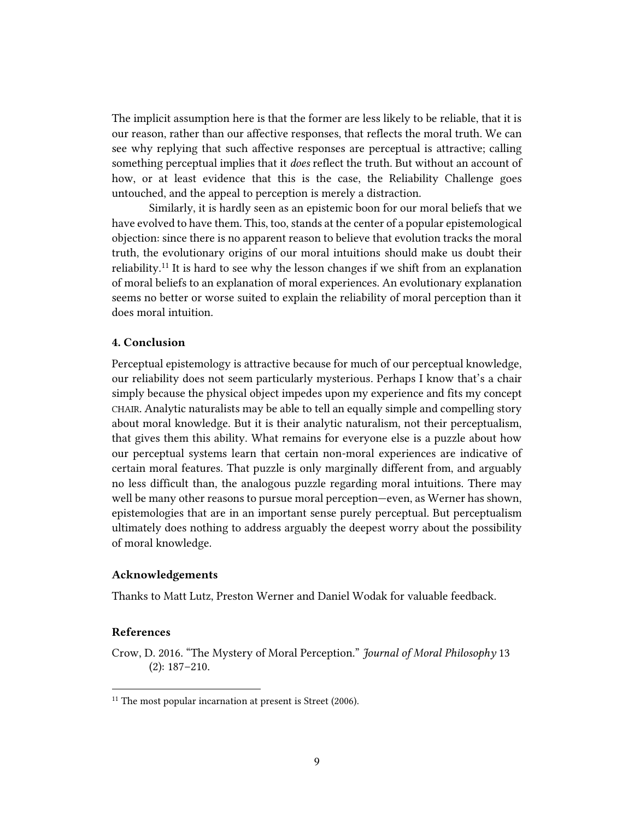The implicit assumption here is that the former are less likely to be reliable, that it is our reason, rather than our affective responses, that reflects the moral truth. We can see why replying that such affective responses are perceptual is attractive; calling something perceptual implies that it *does* reflect the truth. But without an account of how, or at least evidence that this is the case, the Reliability Challenge goes untouched, and the appeal to perception is merely a distraction.

Similarly, it is hardly seen as an epistemic boon for our moral beliefs that we have evolved to have them. This, too, stands at the center of a popular epistemological objection: since there is no apparent reason to believe that evolution tracks the moral truth, the evolutionary origins of our moral intuitions should make us doubt their reliability.<sup>11</sup> It is hard to see why the lesson changes if we shift from an explanation of moral beliefs to an explanation of moral experiences. An evolutionary explanation seems no better or worse suited to explain the reliability of moral perception than it does moral intuition.

### **4. Conclusion**

Perceptual epistemology is attractive because for much of our perceptual knowledge, our reliability does not seem particularly mysterious. Perhaps I know that's a chair simply because the physical object impedes upon my experience and fits my concept CHAIR. Analytic naturalists may be able to tell an equally simple and compelling story about moral knowledge. But it is their analytic naturalism, not their perceptualism, that gives them this ability. What remains for everyone else is a puzzle about how our perceptual systems learn that certain non-moral experiences are indicative of certain moral features. That puzzle is only marginally different from, and arguably no less difficult than, the analogous puzzle regarding moral intuitions. There may well be many other reasons to pursue moral perception—even, as Werner has shown, epistemologies that are in an important sense purely perceptual. But perceptualism ultimately does nothing to address arguably the deepest worry about the possibility of moral knowledge.

#### **Acknowledgements**

Thanks to Matt Lutz, Preston Werner and Daniel Wodak for valuable feedback.

#### **References**

Crow, D. 2016. "The Mystery of Moral Perception." *Journal of Moral Philosophy* 13 (2): 187–210.

 $11$  The most popular incarnation at present is Street (2006).